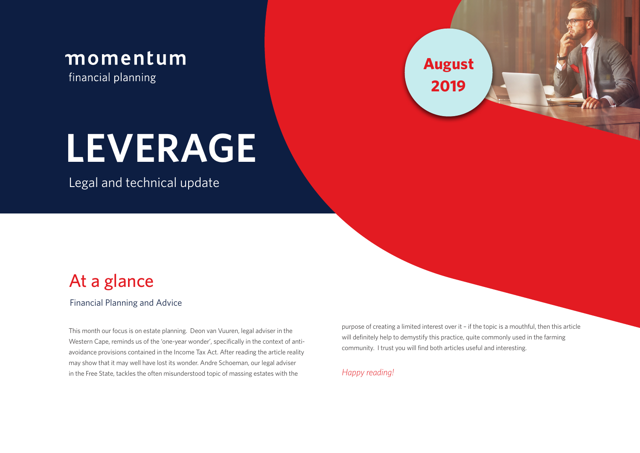

financial planning

**August 2019**

# **LEVERAGE**

Legal and technical update

# At a glance

Financial Planning and Advice

This month our focus is on estate planning. Deon van Vuuren, legal adviser in the Western Cape, reminds us of the 'one-year wonder', specifically in the context of antiavoidance provisions contained in the Income Tax Act. After reading the article reality may show that it may well have lost its wonder. Andre Schoeman, our legal adviser in the Free State, tackles the often misunderstood topic of massing estates with the

purpose of creating a limited interest over it – if the topic is a mouthful, then this article will definitely help to demystify this practice, quite commonly used in the farming community. I trust you will find both articles useful and interesting.

#### *Happy reading!*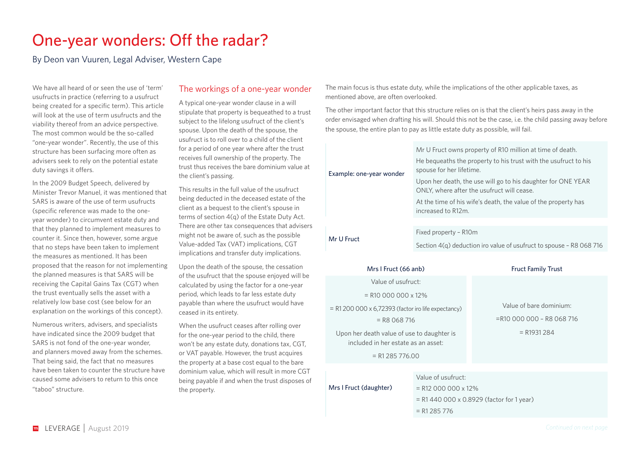## One-year wonders: Off the radar?

By Deon van Vuuren, Legal Adviser, Western Cape

We have all heard of or seen the use of 'term' usufructs in practice (referring to a usufruct being created for a specific term). This article will look at the use of term usufructs and the viability thereof from an advice perspective. The most common would be the so-called "one-year wonder". Recently, the use of this structure has been surfacing more often as advisers seek to rely on the potential estate duty savings it offers.

In the 2009 Budget Speech, delivered by Minister Trevor Manuel, it was mentioned that SARS is aware of the use of term usufructs (specific reference was made to the oneyear wonder) to circumvent estate duty and that they planned to implement measures to counter it. Since then, however, some argue that no steps have been taken to implement the measures as mentioned. It has been proposed that the reason for not implementing the planned measures is that SARS will be receiving the Capital Gains Tax (CGT) when the trust eventually sells the asset with a relatively low base cost (see below for an explanation on the workings of this concept).

Numerous writers, advisers, and specialists have indicated since the 2009 budget that SARS is not fond of the one-year wonder, and planners moved away from the schemes. That being said, the fact that no measures have been taken to counter the structure have caused some advisers to return to this once "taboo" structure.

#### The workings of a one-year wonder

A typical one-year wonder clause in a will stipulate that property is bequeathed to a trust subject to the lifelong usufruct of the client's spouse. Upon the death of the spouse, the usufruct is to roll over to a child of the client for a period of one year where after the trust receives full ownership of the property. The trust thus receives the bare dominium value at the client's passing.

This results in the full value of the usufruct being deducted in the deceased estate of the client as a bequest to the client's spouse in terms of section 4(q) of the Estate Duty Act. There are other tax consequences that advisers might not be aware of, such as the possible Value-added Tax (VAT) implications, CGT implications and transfer duty implications.

Upon the death of the spouse, the cessation of the usufruct that the spouse enjoyed will be calculated by using the factor for a one-year period, which leads to far less estate duty payable than where the usufruct would have ceased in its entirety.

When the usufruct ceases after rolling over for the one-year period to the child, there won't be any estate duty, donations tax, CGT, or VAT payable. However, the trust acquires the property at a base cost equal to the bare dominium value, which will result in more CGT being payable if and when the trust disposes of the property.

The main focus is thus estate duty, while the implications of the other applicable taxes, as mentioned above, are often overlooked.

The other important factor that this structure relies on is that the client's heirs pass away in the order envisaged when drafting his will. Should this not be the case, i.e. the child passing away before the spouse, the entire plan to pay as little estate duty as possible, will fail.

|  |                          | Mr U Fruct owns property of R10 million at time of death.                                                  |  |
|--|--------------------------|------------------------------------------------------------------------------------------------------------|--|
|  | Example: one-year wonder | He bequeaths the property to his trust with the usufruct to his<br>spouse for her lifetime.                |  |
|  |                          | Upon her death, the use will go to his daughter for ONE YEAR<br>ONLY, where after the usufruct will cease. |  |
|  |                          | At the time of his wife's death, the value of the property has<br>increased to R12m.                       |  |
|  |                          |                                                                                                            |  |
|  | Mr U Fruct               | Fixed property - R10m                                                                                      |  |
|  |                          | Section 4(q) deduction iro value of usufruct to spouse - R8 068 716                                        |  |
|  |                          |                                                                                                            |  |

#### Mrs I Fruct (66 anb) Fruct Family Trust

Value of usufruct:  $=$  R<sub>10</sub> 000 000 x 12%

= R1 200 000 x 6,72393 (factor iro life expectancy)  $=$  R8 068 716

Upon her death value of use to daughter is included in her estate as an asset:

 $= R1$  285 776.00

Value of bare dominium: =R10 000 000 – R8 068 716  $= R1931284$ 

#### Mrs I Fruct (daughter)

Value of usufruct:

 $=$  R12 000 000 x 12%

- = R1 440 000 x 0.8929 (factor for 1 year)
- $= R1 285 776$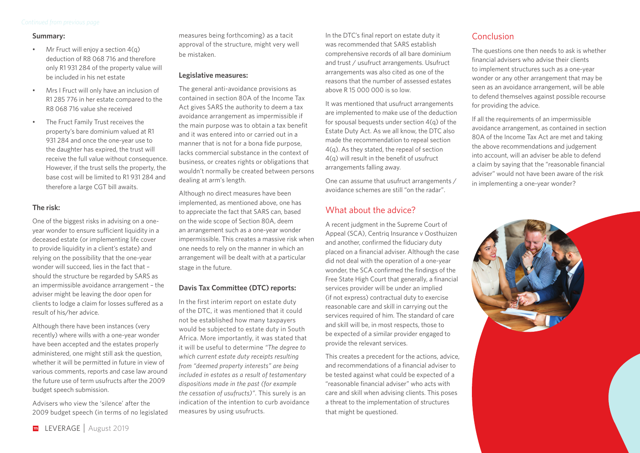#### **Summary:**

- Mr Fruct will enjoy a section  $4(a)$ deduction of R8 068 716 and therefore only R1 931 284 of the property value will be included in his net estate
- Mrs I Fruct will only have an inclusion of R1 285 776 in her estate compared to the R8 068 716 value she received
- The Fruct Family Trust receives the property's bare dominium valued at R1 931 284 and once the one-year use to the daughter has expired, the trust will receive the full value without consequence. However, if the trust sells the property, the base cost will be limited to R1 931 284 and therefore a large CGT bill awaits.

#### **The risk:**

One of the biggest risks in advising on a oneyear wonder to ensure sufficient liquidity in a deceased estate (or implementing life cover to provide liquidity in a client's estate) and relying on the possibility that the one-year wonder will succeed, lies in the fact that – should the structure be regarded by SARS as an impermissible avoidance arrangement – the adviser might be leaving the door open for clients to lodge a claim for losses suffered as a result of his/her advice.

Although there have been instances (very recently) where wills with a one-year wonder have been accepted and the estates properly administered, one might still ask the question, whether it will be permitted in future in view of various comments, reports and case law around the future use of term usufructs after the 2009 budget speech submission.

Advisers who view the 'silence' after the 2009 budget speech (in terms of no legislated measures being forthcoming) as a tacit approval of the structure, might very well be mistaken.

#### **Legislative measures:**

The general anti-avoidance provisions as contained in section 80A of the Income Tax Act gives SARS the authority to deem a tax avoidance arrangement as impermissible if the main purpose was to obtain a tax benefit and it was entered into or carried out in a manner that is not for a bona fide purpose, lacks commercial substance in the context of business, or creates rights or obligations that wouldn't normally be created between persons dealing at arm's length.

Although no direct measures have been implemented, as mentioned above, one has to appreciate the fact that SARS can, based on the wide scope of Section 80A, deem an arrangement such as a one-year wonder impermissible. This creates a massive risk when one needs to rely on the manner in which an arrangement will be dealt with at a particular stage in the future.

#### **Davis Tax Committee (DTC) reports:**

In the first interim report on estate duty of the DTC, it was mentioned that it could not be established how many taxpayers would be subjected to estate duty in South Africa. More importantly, it was stated that it will be useful to determine *"The degree to which current estate duty receipts resulting from "deemed property interests" are being included in estates as a result of testamentary dispositions made in the past (for example the cessation of usufructs)"*. This surely is an indication of the intention to curb avoidance measures by using usufructs.

In the DTC's final report on estate duty it was recommended that SARS establish comprehensive records of all bare dominium and trust / usufruct arrangements. Usufruct arrangements was also cited as one of the reasons that the number of assessed estates above R 15 000 000 is so low.

It was mentioned that usufruct arrangements are implemented to make use of the deduction for spousal bequests under section 4(q) of the Estate Duty Act. As we all know, the DTC also made the recommendation to repeal section 4(q). As they stated, the repeal of section 4(q) will result in the benefit of usufruct arrangements falling away.

One can assume that usufruct arrangements / avoidance schemes are still "on the radar".

### What about the advice?

A recent judgment in the Supreme Court of Appeal (SCA), Centriq Insurance v Oosthuizen and another, confirmed the fiduciary duty placed on a financial adviser. Although the case did not deal with the operation of a one-year wonder, the SCA confirmed the findings of the Free State High Court that generally, a financial services provider will be under an implied (if not express) contractual duty to exercise reasonable care and skill in carrying out the services required of him. The standard of care and skill will be, in most respects, those to be expected of a similar provider engaged to provide the relevant services.

This creates a precedent for the actions, advice, and recommendations of a financial adviser to be tested against what could be expected of a "reasonable financial adviser" who acts with care and skill when advising clients. This poses a threat to the implementation of structures that might be questioned.

#### Conclusion

The questions one then needs to ask is whether financial advisers who advise their clients to implement structures such as a one-year wonder or any other arrangement that may be seen as an avoidance arrangement, will be able to defend themselves against possible recourse for providing the advice.

If all the requirements of an impermissible avoidance arrangement, as contained in section 80A of the Income Tax Act are met and taking the above recommendations and judgement into account, will an adviser be able to defend a claim by saying that the "reasonable financial adviser" would not have been aware of the risk in implementing a one-year wonder?

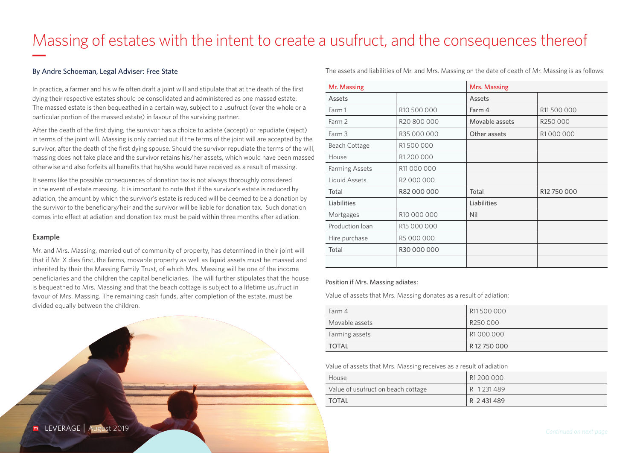# Massing of estates with the intent to create a usufruct, and the consequences thereof

#### By Andre Schoeman, Legal Adviser: Free State

In practice, a farmer and his wife often draft a joint will and stipulate that at the death of the first dying their respective estates should be consolidated and administered as one massed estate. The massed estate is then bequeathed in a certain way, subject to a usufruct (over the whole or a particular portion of the massed estate) in favour of the surviving partner.

After the death of the first dying, the survivor has a choice to adiate (accept) or repudiate (reject) in terms of the joint will. Massing is only carried out if the terms of the joint will are accepted by the survivor, after the death of the first dying spouse. Should the survivor repudiate the terms of the will, massing does not take place and the survivor retains his/her assets, which would have been massed otherwise and also forfeits all benefits that he/she would have received as a result of massing.

It seems like the possible consequences of donation tax is not always thoroughly considered in the event of estate massing. It is important to note that if the survivor's estate is reduced by adiation, the amount by which the survivor's estate is reduced will be deemed to be a donation by the survivor to the beneficiary/heir and the survivor will be liable for donation tax. Such donation comes into effect at adiation and donation tax must be paid within three months after adiation.

#### **Example**

Mr. and Mrs. Massing, married out of community of property, has determined in their joint will that if Mr. X dies first, the farms, movable property as well as liquid assets must be massed and inherited by their the Massing Family Trust, of which Mrs. Massing will be one of the income beneficiaries and the children the capital beneficiaries. The will further stipulates that the house is bequeathed to Mrs. Massing and that the beach cottage is subject to a lifetime usufruct in favour of Mrs. Massing. The remaining cash funds, after completion of the estate, must be divided equally between the children.

Mr. Massing **Mrs. Massing** Mrs. Massing Assets Assets Farm 1 R10 500 000 Farm 4 R11 500 000

The assets and liabilities of Mr. and Mrs. Massing on the date of death of Mr. Massing is as follows:

| ASSELS                |                        | ASSELS         |             |
|-----------------------|------------------------|----------------|-------------|
| Farm 1                | R10 500 000            | Farm 4         | R11500000   |
| Farm 2                | R20 800 000            | Movable assets | R250000     |
| Farm 3                | R35 000 000            | Other assets   | R1000000    |
| <b>Beach Cottage</b>  | R1500000               |                |             |
| House                 | R1 200 000             |                |             |
| <b>Farming Assets</b> | R11000000              |                |             |
| Liquid Assets         | R <sub>2</sub> 000 000 |                |             |
| Total                 | R82 000 000            | Total          | R12 750 000 |
| Liabilities           |                        | Liabilities    |             |
| Mortgages             | R10 000 000            | Nil            |             |
| Production loan       | R15 000 000            |                |             |
| Hire purchase         | R5 000 000             |                |             |
| Total                 | R30 000 000            |                |             |
|                       |                        |                |             |

#### Position if Mrs. Massing adiates:

Value of assets that Mrs. Massing donates as a result of adiation:

| Farm 4         | R11500000            |
|----------------|----------------------|
| Movable assets | R <sub>250</sub> 000 |
| Farming assets | R1 000 000           |
| TOTAL          | R12750000            |

Value of assets that Mrs. Massing receives as a result of adiation

| House                              | R1 200 000 |
|------------------------------------|------------|
| Value of usufruct on beach cottage | R 1231489  |
| <b>TOTAL</b>                       | R 2431489  |